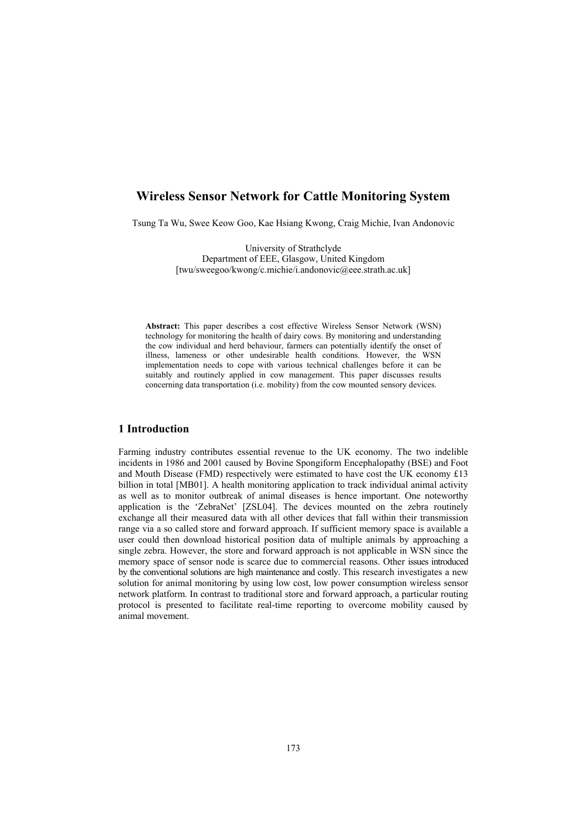# **Wireless Sensor Network for Cattle Monitoring System**

Tsung Ta Wu, Swee Keow Goo, Kae Hsiang Kwong, Craig Michie, Ivan Andonovic

University of Strathclyde Department of EEE, Glasgow, United Kingdom [twu/sweegoo/kwong/c.michie/i.andonovic@eee.strath.ac.uk]

**Abstract:** This paper describes a cost effective Wireless Sensor Network (WSN) technology for monitoring the health of dairy cows. By monitoring and understanding the cow individual and herd behaviour, farmers can potentially identify the onset of illness, lameness or other undesirable health conditions. However, the WSN implementation needs to cope with various technical challenges before it can be suitably and routinely applied in cow management. This paper discusses results concerning data transportation (i.e. mobility) from the cow mounted sensory devices.

### **1 Introduction**

Farming industry contributes essential revenue to the UK economy. The two indelible incidents in 1986 and 2001 caused by Bovine Spongiform Encephalopathy (BSE) and Foot and Mouth Disease (FMD) respectively were estimated to have cost the UK economy  $£13$ billion in total [MB01]. A health monitoring application to track individual animal activity as well as to monitor outbreak of animal diseases is hence important. One noteworthy application is the 'ZebraNet' [ZSL04]. The devices mounted on the zebra routinely exchange all their measured data with all other devices that fall within their transmission range via a so called store and forward approach. If sufficient memory space is available a user could then download historical position data of multiple animals by approaching a single zebra. However, the store and forward approach is not applicable in WSN since the memory space of sensor node is scarce due to commercial reasons. Other issues introduced by the conventional solutions are high maintenance and costly. This research investigates a new solution for animal monitoring by using low cost, low power consumption wireless sensor network platform. In contrast to traditional store and forward approach, a particular routing protocol is presented to facilitate real-time reporting to overcome mobility caused by animal movement.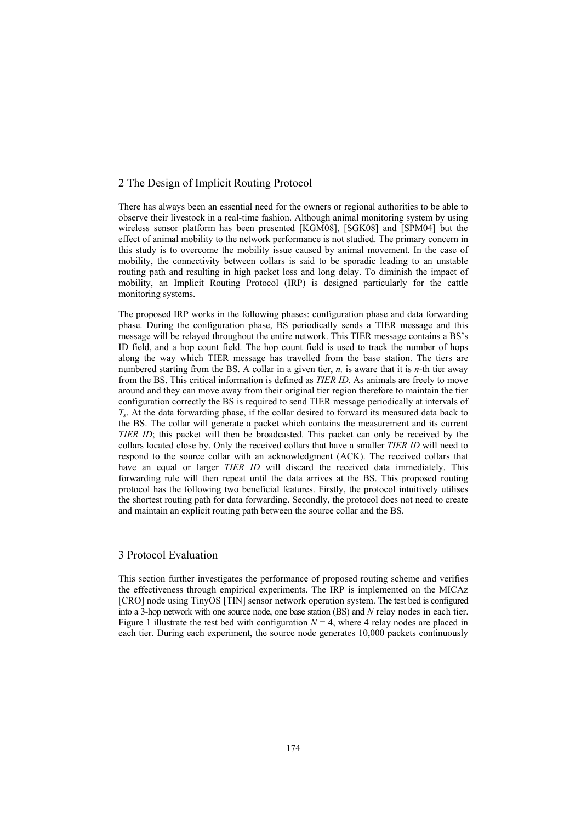### 2 The Design of Implicit Routing Protocol

There has always been an essential need for the owners or regional authorities to be able to observe their livestock in a real-time fashion. Although animal monitoring system by using wireless sensor platform has been presented [KGM08], [SGK08] and [SPM04] but the effect of animal mobility to the network performance is not studied. The primary concern in this study is to overcome the mobility issue caused by animal movement. In the case of mobility, the connectivity between collars is said to be sporadic leading to an unstable routing path and resulting in high packet loss and long delay. To diminish the impact of mobility, an Implicit Routing Protocol (IRP) is designed particularly for the cattle monitoring systems.

The proposed IRP works in the following phases: configuration phase and data forwarding phase. During the configuration phase, BS periodically sends a TIER message and this message will be relayed throughout the entire network. This TIER message contains a BS's ID field, and a hop count field. The hop count field is used to track the number of hops along the way which TIER message has travelled from the base station. The tiers are numbered starting from the BS. A collar in a given tier, *n,* is aware that it is *n-*th tier away from the BS. This critical information is defined as *TIER ID.* As animals are freely to move around and they can move away from their original tier region therefore to maintain the tier configuration correctly the BS is required to send TIER message periodically at intervals of *Ts*. At the data forwarding phase, if the collar desired to forward its measured data back to the BS. The collar will generate a packet which contains the measurement and its current *TIER ID*; this packet will then be broadcasted. This packet can only be received by the collars located close by. Only the received collars that have a smaller *TIER ID* will need to respond to the source collar with an acknowledgment (ACK). The received collars that have an equal or larger *TIER ID* will discard the received data immediately. This forwarding rule will then repeat until the data arrives at the BS. This proposed routing protocol has the following two beneficial features. Firstly, the protocol intuitively utilises the shortest routing path for data forwarding. Secondly, the protocol does not need to create and maintain an explicit routing path between the source collar and the BS.

## 3 Protocol Evaluation

This section further investigates the performance of proposed routing scheme and verifies the effectiveness through empirical experiments. The IRP is implemented on the MICAz [CRO] node using TinyOS [TIN] sensor network operation system. The test bed is configured into a 3-hop network with one source node, one base station (BS) and *N* relay nodes in each tier. Figure 1 illustrate the test bed with configuration  $N = 4$ , where 4 relay nodes are placed in each tier. During each experiment, the source node generates 10,000 packets continuously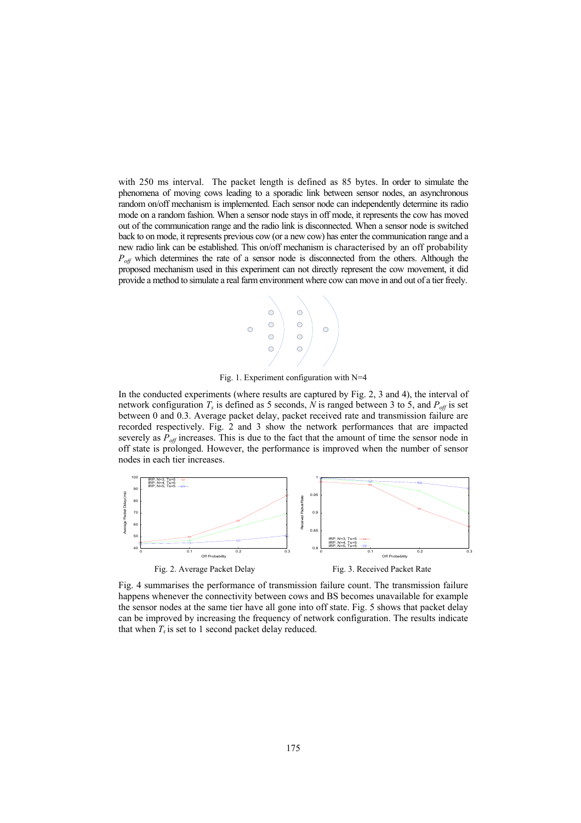with 250 ms interval. The packet length is defined as 85 bytes. In order to simulate the phenomena of moving cows leading to a sporadic link between sensor nodes, an asynchronous random on/off mechanism is implemented. Each sensor node can independently determine its radio mode on a random fashion. When a sensor node stays in off mode, it represents the cow has moved out of the communication range and the radio link is disconnected. When a sensor node is switched back to on mode, it represents previous cow (or a new cow) has enter the communication range and a new radio link can be established. This on/off mechanism is characterised by an off probability  $P_{\text{off}}$  which determines the rate of a sensor node is disconnected from the others. Although the proposed mechanism used in this experiment can not directly represent the cow movement, it did provide a method to simulate a real farm environment where cow can move in and out of a tier freely.



Fig. 1. Experiment configuration with N=4

In the conducted experiments (where results are captured by Fig. 2, 3 and 4), the interval of network configuration  $T_s$  is defined as 5 seconds, N is ranged between 3 to 5, and  $P_{off}$  is set between 0 and 0.3. Average packet delay, packet received rate and transmission failure are recorded respectively. Fig. 2 and 3 show the network performances that are impacted severely as  $P_{\text{off}}$  increases. This is due to the fact that the amount of time the sensor node in off state is prolonged. However, the performance is improved when the number of sensor nodes in each tier increases.



Fig. 4 summarises the performance of transmission failure count. The transmission failure happens whenever the connectivity between cows and BS becomes unavailable for example the sensor nodes at the same tier have all gone into off state. Fig. 5 shows that packet delay can be improved by increasing the frequency of network configuration. The results indicate that when  $T_s$  is set to 1 second packet delay reduced.